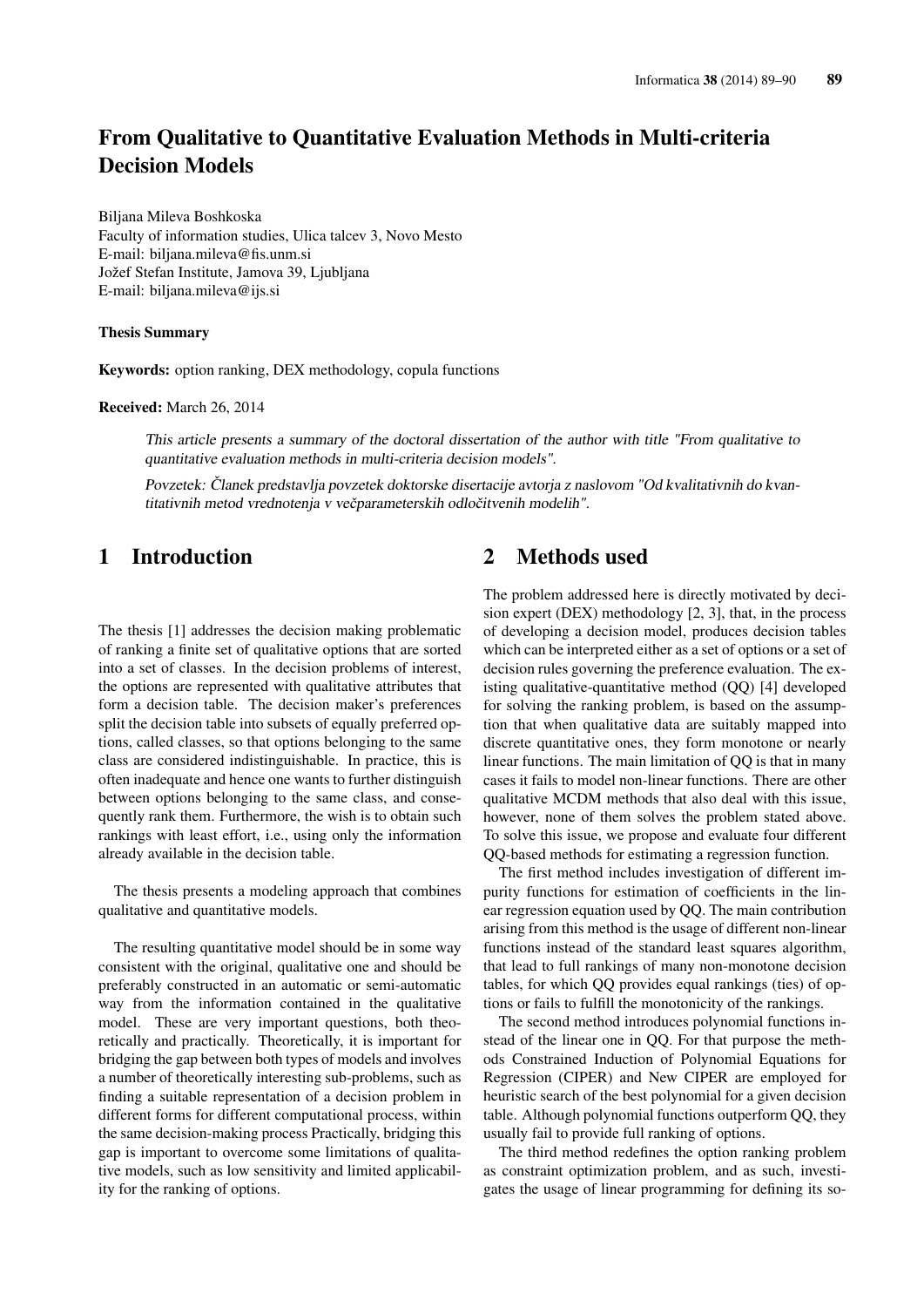# From Qualitative to Quantitative Evaluation Methods in Multi-criteria Decision Models

Biljana Mileva Boshkoska Faculty of information studies, Ulica talcev 3, Novo Mesto E-mail: biljana.mileva@fis.unm.si Jožef Stefan Institute, Jamova 39, Ljubljana E-mail: biljana.mileva@ijs.si

#### Thesis Summary

Keywords: option ranking, DEX methodology, copula functions

Received: March 26, 2014

This article presents a summary of the doctoral dissertation of the author with title "From qualitative to quantitative evaluation methods in multi-criteria decision models".

Povzetek: Članek predstavlja povzetek doktorske disertacije avtorja z naslovom "Od kvalitativnih do kvantitativnih metod vrednotenja v večparameterskih odločitvenih modelih".

# 1 Introduction

The thesis [1] addresses the decision making problematic of ranking a finite set of qualitative options that are sorted into a set of classes. In the decision problems of interest, the options are represented with qualitative attributes that form a decision table. The decision maker's preferences split the decision table into subsets of equally preferred options, called classes, so that options belonging to the same class are considered indistinguishable. In practice, this is often inadequate and hence one wants to further distinguish between options belonging to the same class, and consequently rank them. Furthermore, the wish is to obtain such rankings with least effort, i.e., using only the information already available in the decision table.

The thesis presents a modeling approach that combines qualitative and quantitative models.

The resulting quantitative model should be in some way consistent with the original, qualitative one and should be preferably constructed in an automatic or semi-automatic way from the information contained in the qualitative model. These are very important questions, both theoretically and practically. Theoretically, it is important for bridging the gap between both types of models and involves a number of theoretically interesting sub-problems, such as finding a suitable representation of a decision problem in different forms for different computational process, within the same decision-making process Practically, bridging this gap is important to overcome some limitations of qualitative models, such as low sensitivity and limited applicability for the ranking of options.

#### 2 Methods used

The problem addressed here is directly motivated by decision expert (DEX) methodology [2, 3], that, in the process of developing a decision model, produces decision tables which can be interpreted either as a set of options or a set of decision rules governing the preference evaluation. The existing qualitative-quantitative method (QQ) [4] developed for solving the ranking problem, is based on the assumption that when qualitative data are suitably mapped into discrete quantitative ones, they form monotone or nearly linear functions. The main limitation of QQ is that in many cases it fails to model non-linear functions. There are other qualitative MCDM methods that also deal with this issue, however, none of them solves the problem stated above. To solve this issue, we propose and evaluate four different QQ-based methods for estimating a regression function.

The first method includes investigation of different impurity functions for estimation of coefficients in the linear regression equation used by QQ. The main contribution arising from this method is the usage of different non-linear functions instead of the standard least squares algorithm, that lead to full rankings of many non-monotone decision tables, for which QQ provides equal rankings (ties) of options or fails to fulfill the monotonicity of the rankings.

The second method introduces polynomial functions instead of the linear one in QQ. For that purpose the methods Constrained Induction of Polynomial Equations for Regression (CIPER) and New CIPER are employed for heuristic search of the best polynomial for a given decision table. Although polynomial functions outperform QQ, they usually fail to provide full ranking of options.

The third method redefines the option ranking problem as constraint optimization problem, and as such, investigates the usage of linear programming for defining its so